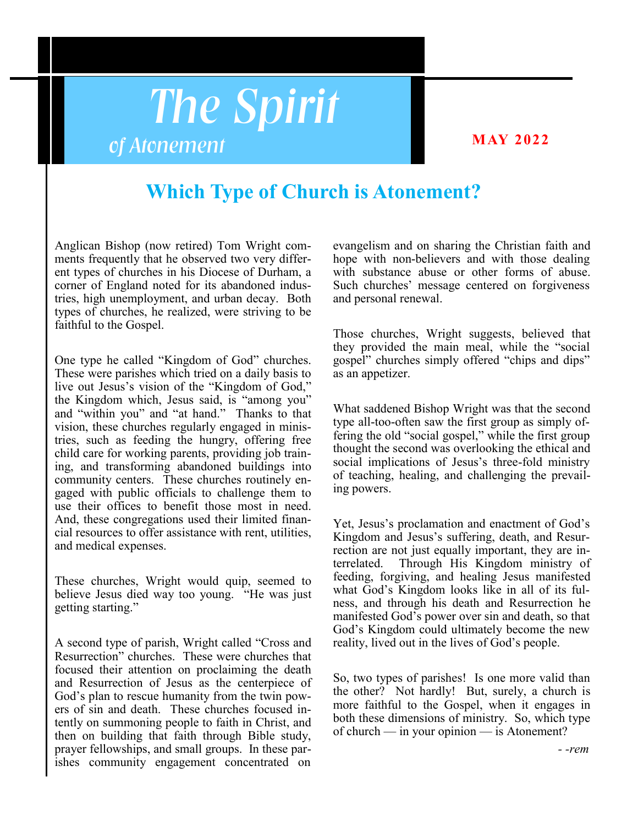# *The Spirit of Atonement*

### **MAY 2022**

## **Which Type of Church is Atonement?**

Anglican Bishop (now retired) Tom Wright comments frequently that he observed two very different types of churches in his Diocese of Durham, a corner of England noted for its abandoned industries, high unemployment, and urban decay. Both types of churches, he realized, were striving to be faithful to the Gospel.

One type he called "Kingdom of God" churches. These were parishes which tried on a daily basis to live out Jesus's vision of the "Kingdom of God," the Kingdom which, Jesus said, is "among you" and "within you" and "at hand." Thanks to that vision, these churches regularly engaged in ministries, such as feeding the hungry, offering free child care for working parents, providing job training, and transforming abandoned buildings into community centers. These churches routinely engaged with public officials to challenge them to use their offices to benefit those most in need. And, these congregations used their limited financial resources to offer assistance with rent, utilities, and medical expenses.

These churches, Wright would quip, seemed to believe Jesus died way too young. "He was just getting starting."

A second type of parish, Wright called "Cross and Resurrection" churches. These were churches that focused their attention on proclaiming the death and Resurrection of Jesus as the centerpiece of God's plan to rescue humanity from the twin powers of sin and death. These churches focused intently on summoning people to faith in Christ, and then on building that faith through Bible study, prayer fellowships, and small groups. In these parishes community engagement concentrated on evangelism and on sharing the Christian faith and hope with non-believers and with those dealing with substance abuse or other forms of abuse. Such churches' message centered on forgiveness and personal renewal.

Those churches, Wright suggests, believed that they provided the main meal, while the "social gospel" churches simply offered "chips and dips" as an appetizer.

What saddened Bishop Wright was that the second type all-too-often saw the first group as simply offering the old "social gospel," while the first group thought the second was overlooking the ethical and social implications of Jesus's three-fold ministry of teaching, healing, and challenging the prevailing powers.

Yet, Jesus's proclamation and enactment of God's Kingdom and Jesus's suffering, death, and Resurrection are not just equally important, they are interrelated. Through His Kingdom ministry of feeding, forgiving, and healing Jesus manifested what God's Kingdom looks like in all of its fulness, and through his death and Resurrection he manifested God's power over sin and death, so that God's Kingdom could ultimately become the new reality, lived out in the lives of God's people.

So, two types of parishes! Is one more valid than the other? Not hardly! But, surely, a church is more faithful to the Gospel, when it engages in both these dimensions of ministry. So, which type of church — in your opinion — is Atonement?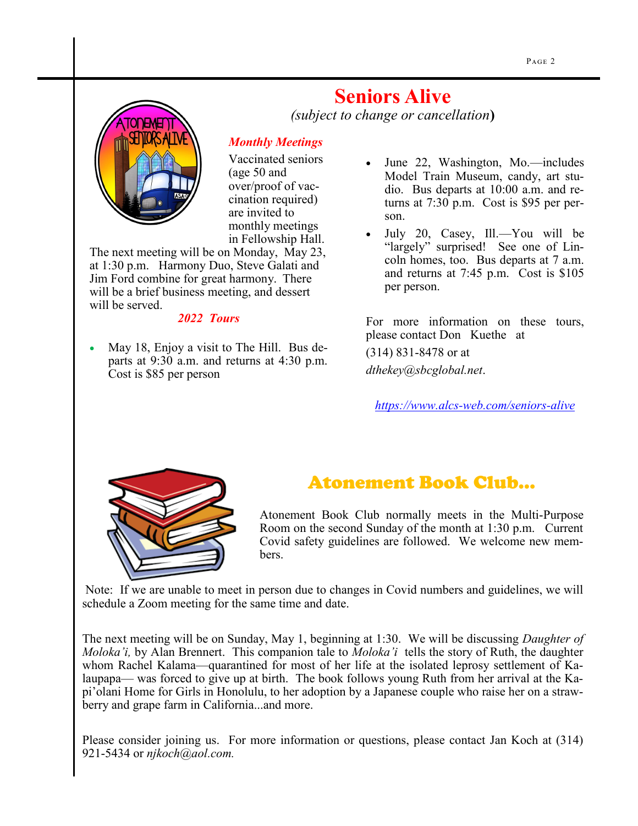

**Seniors Alive** 

*(subject to change or cancellation***)**

#### *Monthly Meetings*

Vaccinated seniors (age 50 and over/proof of vaccination required) are invited to monthly meetings in Fellowship Hall.

The next meeting will be on Monday, May 23, at 1:30 p.m. Harmony Duo, Steve Galati and Jim Ford combine for great harmony. There will be a brief business meeting, and dessert will be served.

#### *2022 Tours*

• May 18, Enjoy a visit to The Hill. Bus departs at 9:30 a.m. and returns at 4:30 p.m. Cost is \$85 per person

- June 22, Washington, Mo.—includes Model Train Museum, candy, art studio. Bus departs at 10:00 a.m. and returns at 7:30 p.m. Cost is \$95 per person.
- July 20, Casey, Ill.—You will be "largely" surprised! See one of Lincoln homes, too. Bus departs at 7 a.m. and returns at 7:45 p.m. Cost is \$105 per person.

For more information on these tours, please contact Don Kuethe at (314) 831-8478 or at *dthekey@sbcglobal.net*.

*[https://www.alcs](https://www.alcs-web.com/seniors-alive)-web.com/seniors-alive*



## Atonement Book Club...

Atonement Book Club normally meets in the Multi-Purpose Room on the second Sunday of the month at 1:30 p.m. Current Covid safety guidelines are followed. We welcome new members.

Note: If we are unable to meet in person due to changes in Covid numbers and guidelines, we will schedule a Zoom meeting for the same time and date.

The next meeting will be on Sunday, May 1, beginning at 1:30. We will be discussing *Daughter of Moloka'i,* by Alan Brennert. This companion tale to *Moloka'i* tells the story of Ruth, the daughter whom Rachel Kalama—quarantined for most of her life at the isolated leprosy settlement of Kalaupapa— was forced to give up at birth. The book follows young Ruth from her arrival at the Kapi'olani Home for Girls in Honolulu, to her adoption by a Japanese couple who raise her on a strawberry and grape farm in California...and more.

Please consider joining us. For more information or questions, please contact Jan Koch at (314) 921-5434 or *njkoch@aol.com.*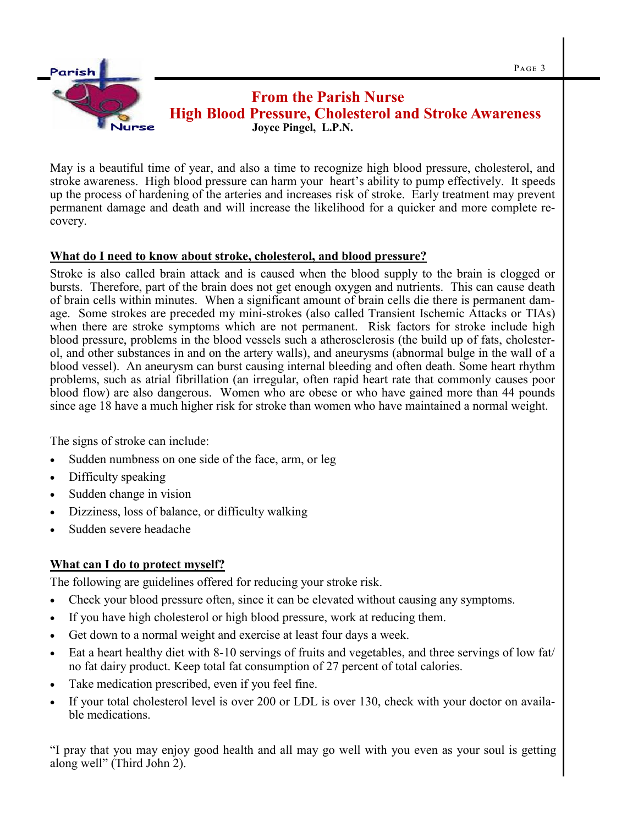

May is a beautiful time of year, and also a time to recognize high blood pressure, cholesterol, and stroke awareness. High blood pressure can harm your heart's ability to pump effectively. It speeds up the process of hardening of the arteries and increases risk of stroke. Early treatment may prevent permanent damage and death and will increase the likelihood for a quicker and more complete recovery.

#### **What do I need to know about stroke, cholesterol, and blood pressure?**

Stroke is also called brain attack and is caused when the blood supply to the brain is clogged or bursts. Therefore, part of the brain does not get enough oxygen and nutrients. This can cause death of brain cells within minutes. When a significant amount of brain cells die there is permanent damage. Some strokes are preceded my mini-strokes (also called Transient Ischemic Attacks or TIAs) when there are stroke symptoms which are not permanent. Risk factors for stroke include high blood pressure, problems in the blood vessels such a atherosclerosis (the build up of fats, cholesterol, and other substances in and on the artery walls), and aneurysms (abnormal bulge in the wall of a blood vessel). An aneurysm can burst causing internal bleeding and often death. Some heart rhythm problems, such as atrial fibrillation (an irregular, often rapid heart rate that commonly causes poor blood flow) are also dangerous. Women who are obese or who have gained more than 44 pounds since age 18 have a much higher risk for stroke than women who have maintained a normal weight.

 The signs of stroke can include:

- Sudden numbness on one side of the face, arm, or leg
- Difficulty speaking
- Sudden change in vision
- Dizziness, loss of balance, or difficulty walking
- Sudden severe headache

#### **What can I do to protect myself?**

The following are guidelines offered for reducing your stroke risk.

- Check your blood pressure often, since it can be elevated without causing any symptoms.
- If you have high cholesterol or high blood pressure, work at reducing them.
- Get down to a normal weight and exercise at least four days a week.
- Eat a heart healthy diet with 8-10 servings of fruits and vegetables, and three servings of low fat/ no fat dairy product. Keep total fat consumption of 27 percent of total calories.
- Take medication prescribed, even if you feel fine.
- If your total cholesterol level is over 200 or LDL is over 130, check with your doctor on available medications.

"I pray that you may enjoy good health and all may go well with you even as your soul is getting along well" (Third John 2).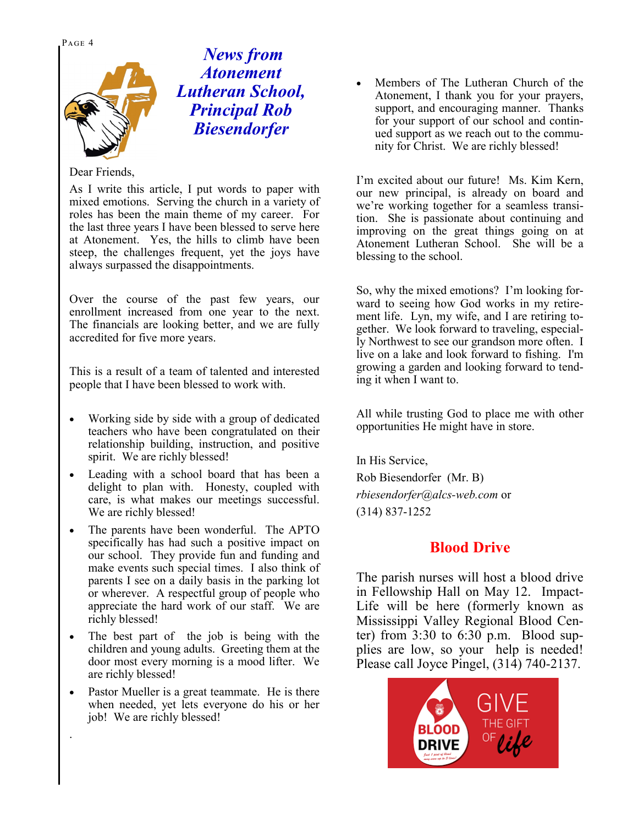Page 4



*News from Atonement Lutheran School, Principal Rob Biesendorfer*

#### Dear Friends,

As I write this article, I put words to paper with mixed emotions. Serving the church in a variety of roles has been the main theme of my career. For the last three years I have been blessed to serve here at Atonement. Yes, the hills to climb have been steep, the challenges frequent, yet the joys have always surpassed the disappointments.

Over the course of the past few years, our enrollment increased from one year to the next. The financials are looking better, and we are fully accredited for five more years.

This is a result of a team of talented and interested people that I have been blessed to work with.

- Working side by side with a group of dedicated teachers who have been congratulated on their relationship building, instruction, and positive spirit. We are richly blessed!
- Leading with a school board that has been a delight to plan with. Honesty, coupled with care, is what makes our meetings successful. We are richly blessed!
- The parents have been wonderful. The APTO specifically has had such a positive impact on our school. They provide fun and funding and make events such special times. I also think of parents I see on a daily basis in the parking lot or wherever. A respectful group of people who appreciate the hard work of our staff. We are richly blessed!
- The best part of the job is being with the children and young adults. Greeting them at the door most every morning is a mood lifter. We are richly blessed!
- Pastor Mueller is a great teammate. He is there when needed, yet lets everyone do his or her job! We are richly blessed!

.

• Members of The Lutheran Church of the Atonement, I thank you for your prayers, support, and encouraging manner. Thanks for your support of our school and continued support as we reach out to the community for Christ. We are richly blessed!

I'm excited about our future! Ms. Kim Kern, our new principal, is already on board and we're working together for a seamless transition. She is passionate about continuing and improving on the great things going on at Atonement Lutheran School. She will be a blessing to the school.

So, why the mixed emotions? I'm looking forward to seeing how God works in my retirement life. Lyn, my wife, and I are retiring together. We look forward to traveling, especially Northwest to see our grandson more often. I live on a lake and look forward to fishing. I'm growing a garden and looking forward to tending it when I want to.

All while trusting God to place me with other opportunities He might have in store.

In His Service,

Rob Biesendorfer (Mr. B) *rbiesendorfer@alcs-web.com* or (314) 837-1252

#### **Blood Drive**

The parish nurses will host a blood drive in Fellowship Hall on May 12. Impact-Life will be here (formerly known as Mississippi Valley Regional Blood Center) from 3:30 to 6:30 p.m. Blood supplies are low, so your help is needed! Please call Joyce Pingel, (314) 740-2137.

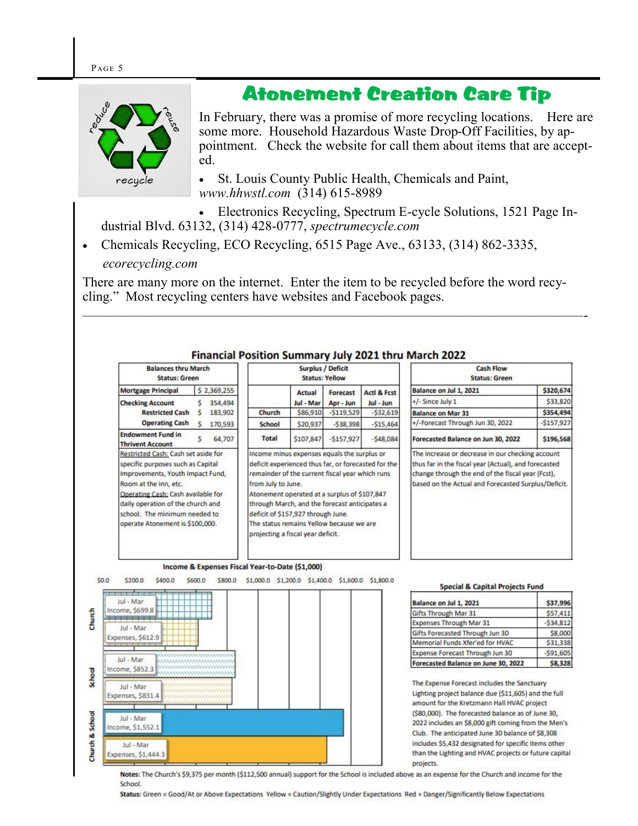## Atonement Creation Care Tip



In February, there was a promise of more recycling locations. Here are some more. Household Hazardous Waste Drop-Off Facilities, by appointment. Check the website for call them about items that are accepted.

• St. Louis County Public Health, Chemicals and Paint, *www.hhwstl.com* (314) 615-8989

• Electronics Recycling, Spectrum E-cycle Solutions, 1521 Page Industrial Blvd. 63132, (314) 428-0777, *spectrumecycle.com*

• Chemicals Recycling, ECO Recycling, 6515 Page Ave., 63133, (314) 862-3335, *ecorecycling.com*

There are many more on the internet. Enter the item to be recycled before the word recycling." Most recycling centers have websites and Facebook pages.



Notes: The Church's \$9,375 per month (\$112,500 annual) support for the School is included above as an expense for the Church and income for the School.

Status: Green = Good/At or Above Expectations Yellow = Caution/Slightly Under Expectations Red = Danger/Significantly Below Expectations